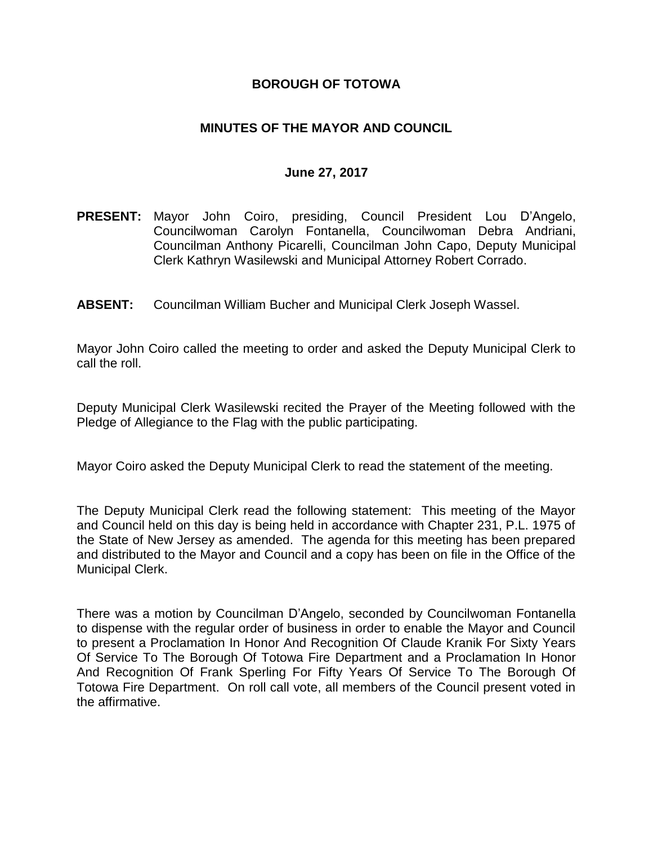## **BOROUGH OF TOTOWA**

# **MINUTES OF THE MAYOR AND COUNCIL**

#### **June 27, 2017**

- **PRESENT:** Mayor John Coiro, presiding, Council President Lou D'Angelo, Councilwoman Carolyn Fontanella, Councilwoman Debra Andriani, Councilman Anthony Picarelli, Councilman John Capo, Deputy Municipal Clerk Kathryn Wasilewski and Municipal Attorney Robert Corrado.
- **ABSENT:** Councilman William Bucher and Municipal Clerk Joseph Wassel.

Mayor John Coiro called the meeting to order and asked the Deputy Municipal Clerk to call the roll.

Deputy Municipal Clerk Wasilewski recited the Prayer of the Meeting followed with the Pledge of Allegiance to the Flag with the public participating.

Mayor Coiro asked the Deputy Municipal Clerk to read the statement of the meeting.

The Deputy Municipal Clerk read the following statement: This meeting of the Mayor and Council held on this day is being held in accordance with Chapter 231, P.L. 1975 of the State of New Jersey as amended. The agenda for this meeting has been prepared and distributed to the Mayor and Council and a copy has been on file in the Office of the Municipal Clerk.

There was a motion by Councilman D'Angelo, seconded by Councilwoman Fontanella to dispense with the regular order of business in order to enable the Mayor and Council to present a Proclamation In Honor And Recognition Of Claude Kranik For Sixty Years Of Service To The Borough Of Totowa Fire Department and a Proclamation In Honor And Recognition Of Frank Sperling For Fifty Years Of Service To The Borough Of Totowa Fire Department. On roll call vote, all members of the Council present voted in the affirmative.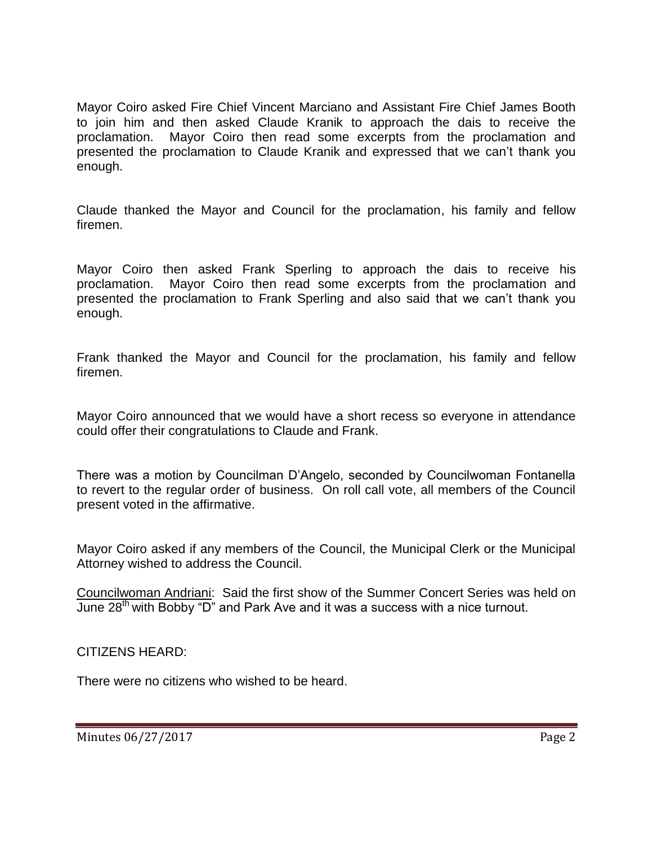Mayor Coiro asked Fire Chief Vincent Marciano and Assistant Fire Chief James Booth to join him and then asked Claude Kranik to approach the dais to receive the proclamation. Mayor Coiro then read some excerpts from the proclamation and presented the proclamation to Claude Kranik and expressed that we can't thank you enough.

Claude thanked the Mayor and Council for the proclamation, his family and fellow firemen.

Mayor Coiro then asked Frank Sperling to approach the dais to receive his proclamation. Mayor Coiro then read some excerpts from the proclamation and presented the proclamation to Frank Sperling and also said that we can't thank you enough.

Frank thanked the Mayor and Council for the proclamation, his family and fellow firemen.

Mayor Coiro announced that we would have a short recess so everyone in attendance could offer their congratulations to Claude and Frank.

There was a motion by Councilman D'Angelo, seconded by Councilwoman Fontanella to revert to the regular order of business. On roll call vote, all members of the Council present voted in the affirmative.

Mayor Coiro asked if any members of the Council, the Municipal Clerk or the Municipal Attorney wished to address the Council.

Councilwoman Andriani: Said the first show of the Summer Concert Series was held on June 28<sup>th</sup> with Bobby "D" and Park Ave and it was a success with a nice turnout.

CITIZENS HEARD:

There were no citizens who wished to be heard.

Minutes 06/27/2017 Page 2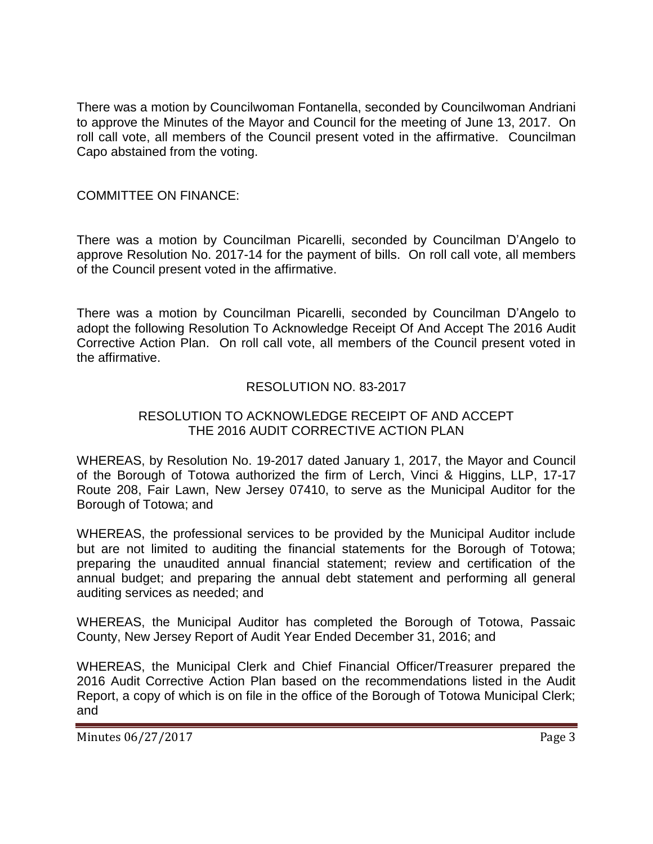There was a motion by Councilwoman Fontanella, seconded by Councilwoman Andriani to approve the Minutes of the Mayor and Council for the meeting of June 13, 2017. On roll call vote, all members of the Council present voted in the affirmative. Councilman Capo abstained from the voting.

# COMMITTEE ON FINANCE:

There was a motion by Councilman Picarelli, seconded by Councilman D'Angelo to approve Resolution No. 2017-14 for the payment of bills. On roll call vote, all members of the Council present voted in the affirmative.

There was a motion by Councilman Picarelli, seconded by Councilman D'Angelo to adopt the following Resolution To Acknowledge Receipt Of And Accept The 2016 Audit Corrective Action Plan. On roll call vote, all members of the Council present voted in the affirmative.

## RESOLUTION NO. 83-2017

## RESOLUTION TO ACKNOWLEDGE RECEIPT OF AND ACCEPT THE 2016 AUDIT CORRECTIVE ACTION PLAN

WHEREAS, by Resolution No. 19-2017 dated January 1, 2017, the Mayor and Council of the Borough of Totowa authorized the firm of Lerch, Vinci & Higgins, LLP, 17-17 Route 208, Fair Lawn, New Jersey 07410, to serve as the Municipal Auditor for the Borough of Totowa; and

WHEREAS, the professional services to be provided by the Municipal Auditor include but are not limited to auditing the financial statements for the Borough of Totowa; preparing the unaudited annual financial statement; review and certification of the annual budget; and preparing the annual debt statement and performing all general auditing services as needed; and

WHEREAS, the Municipal Auditor has completed the Borough of Totowa, Passaic County, New Jersey Report of Audit Year Ended December 31, 2016; and

WHEREAS, the Municipal Clerk and Chief Financial Officer/Treasurer prepared the 2016 Audit Corrective Action Plan based on the recommendations listed in the Audit Report, a copy of which is on file in the office of the Borough of Totowa Municipal Clerk; and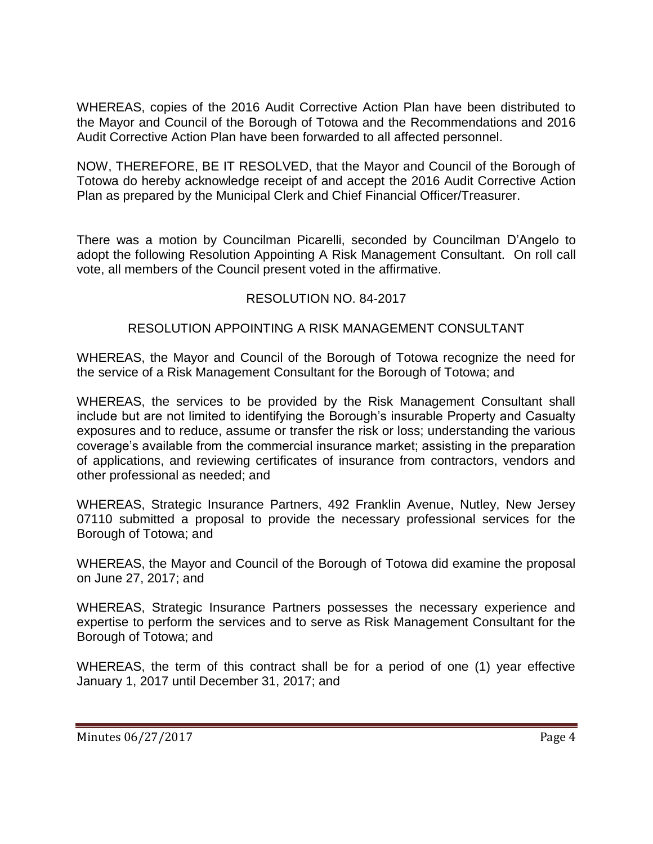WHEREAS, copies of the 2016 Audit Corrective Action Plan have been distributed to the Mayor and Council of the Borough of Totowa and the Recommendations and 2016 Audit Corrective Action Plan have been forwarded to all affected personnel.

NOW, THEREFORE, BE IT RESOLVED, that the Mayor and Council of the Borough of Totowa do hereby acknowledge receipt of and accept the 2016 Audit Corrective Action Plan as prepared by the Municipal Clerk and Chief Financial Officer/Treasurer.

There was a motion by Councilman Picarelli, seconded by Councilman D'Angelo to adopt the following Resolution Appointing A Risk Management Consultant. On roll call vote, all members of the Council present voted in the affirmative.

## RESOLUTION NO. 84-2017

## RESOLUTION APPOINTING A RISK MANAGEMENT CONSULTANT

WHEREAS, the Mayor and Council of the Borough of Totowa recognize the need for the service of a Risk Management Consultant for the Borough of Totowa; and

WHEREAS, the services to be provided by the Risk Management Consultant shall include but are not limited to identifying the Borough's insurable Property and Casualty exposures and to reduce, assume or transfer the risk or loss; understanding the various coverage's available from the commercial insurance market; assisting in the preparation of applications, and reviewing certificates of insurance from contractors, vendors and other professional as needed; and

WHEREAS, Strategic Insurance Partners, 492 Franklin Avenue, Nutley, New Jersey 07110 submitted a proposal to provide the necessary professional services for the Borough of Totowa; and

WHEREAS, the Mayor and Council of the Borough of Totowa did examine the proposal on June 27, 2017; and

WHEREAS, Strategic Insurance Partners possesses the necessary experience and expertise to perform the services and to serve as Risk Management Consultant for the Borough of Totowa; and

WHEREAS, the term of this contract shall be for a period of one (1) year effective January 1, 2017 until December 31, 2017; and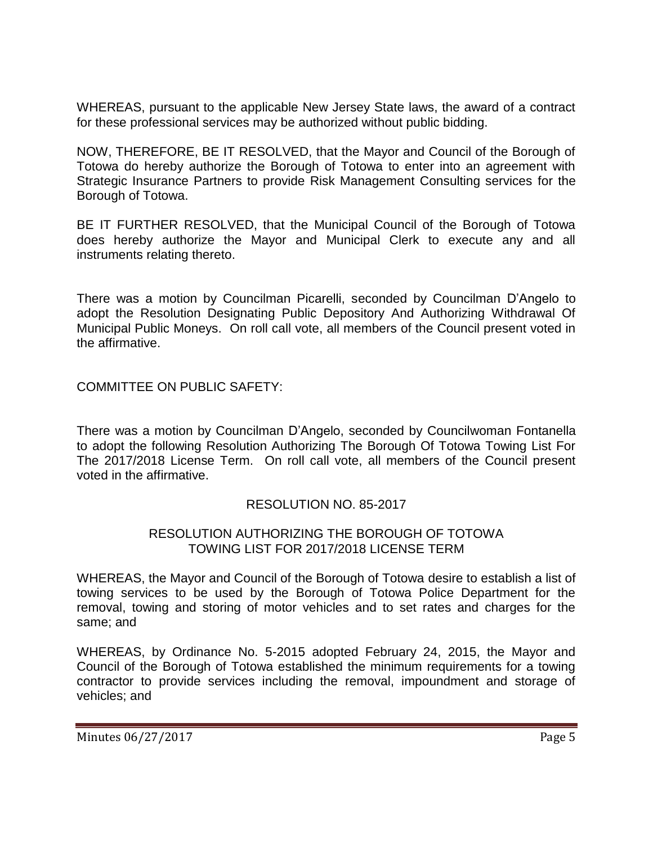WHEREAS, pursuant to the applicable New Jersey State laws, the award of a contract for these professional services may be authorized without public bidding.

NOW, THEREFORE, BE IT RESOLVED, that the Mayor and Council of the Borough of Totowa do hereby authorize the Borough of Totowa to enter into an agreement with Strategic Insurance Partners to provide Risk Management Consulting services for the Borough of Totowa.

BE IT FURTHER RESOLVED, that the Municipal Council of the Borough of Totowa does hereby authorize the Mayor and Municipal Clerk to execute any and all instruments relating thereto.

There was a motion by Councilman Picarelli, seconded by Councilman D'Angelo to adopt the Resolution Designating Public Depository And Authorizing Withdrawal Of Municipal Public Moneys. On roll call vote, all members of the Council present voted in the affirmative.

COMMITTEE ON PUBLIC SAFETY:

There was a motion by Councilman D'Angelo, seconded by Councilwoman Fontanella to adopt the following Resolution Authorizing The Borough Of Totowa Towing List For The 2017/2018 License Term. On roll call vote, all members of the Council present voted in the affirmative.

# RESOLUTION NO. 85-2017

#### RESOLUTION AUTHORIZING THE BOROUGH OF TOTOWA TOWING LIST FOR 2017/2018 LICENSE TERM

WHEREAS, the Mayor and Council of the Borough of Totowa desire to establish a list of towing services to be used by the Borough of Totowa Police Department for the removal, towing and storing of motor vehicles and to set rates and charges for the same; and

WHEREAS, by Ordinance No. 5-2015 adopted February 24, 2015, the Mayor and Council of the Borough of Totowa established the minimum requirements for a towing contractor to provide services including the removal, impoundment and storage of vehicles; and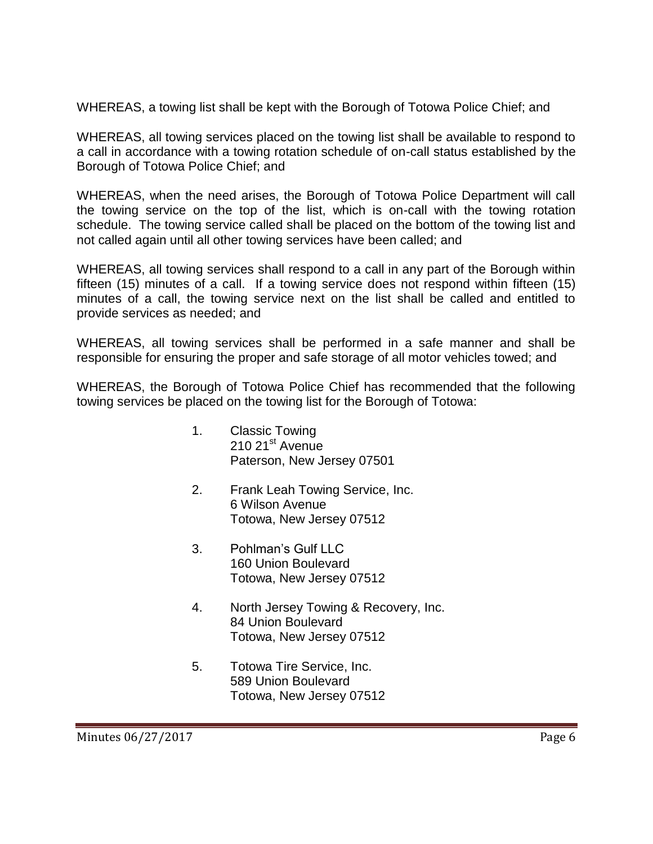WHEREAS, a towing list shall be kept with the Borough of Totowa Police Chief; and

WHEREAS, all towing services placed on the towing list shall be available to respond to a call in accordance with a towing rotation schedule of on-call status established by the Borough of Totowa Police Chief; and

WHEREAS, when the need arises, the Borough of Totowa Police Department will call the towing service on the top of the list, which is on-call with the towing rotation schedule. The towing service called shall be placed on the bottom of the towing list and not called again until all other towing services have been called; and

WHEREAS, all towing services shall respond to a call in any part of the Borough within fifteen (15) minutes of a call. If a towing service does not respond within fifteen (15) minutes of a call, the towing service next on the list shall be called and entitled to provide services as needed; and

WHEREAS, all towing services shall be performed in a safe manner and shall be responsible for ensuring the proper and safe storage of all motor vehicles towed; and

WHEREAS, the Borough of Totowa Police Chief has recommended that the following towing services be placed on the towing list for the Borough of Totowa:

- 1. Classic Towing 210 21<sup>st</sup> Avenue Paterson, New Jersey 07501
- 2. Frank Leah Towing Service, Inc. 6 Wilson Avenue Totowa, New Jersey 07512
- 3. Pohlman's Gulf LLC 160 Union Boulevard Totowa, New Jersey 07512
- 4. North Jersey Towing & Recovery, Inc. 84 Union Boulevard Totowa, New Jersey 07512
- 5. Totowa Tire Service, Inc. 589 Union Boulevard Totowa, New Jersey 07512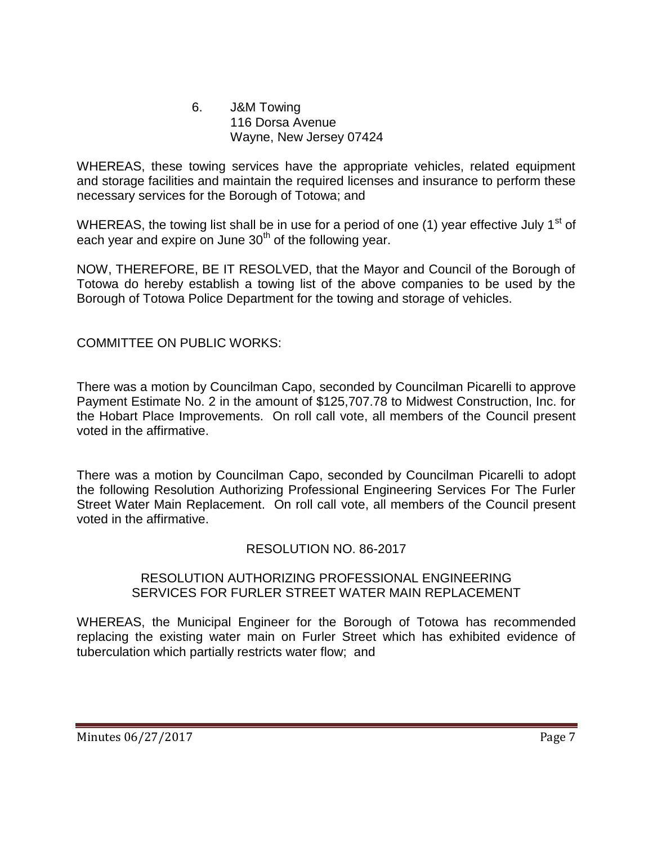#### 6. J&M Towing 116 Dorsa Avenue Wayne, New Jersey 07424

WHEREAS, these towing services have the appropriate vehicles, related equipment and storage facilities and maintain the required licenses and insurance to perform these necessary services for the Borough of Totowa; and

WHEREAS, the towing list shall be in use for a period of one (1) year effective July 1<sup>st</sup> of each year and expire on June 30<sup>th</sup> of the following year.

NOW, THEREFORE, BE IT RESOLVED, that the Mayor and Council of the Borough of Totowa do hereby establish a towing list of the above companies to be used by the Borough of Totowa Police Department for the towing and storage of vehicles.

# COMMITTEE ON PUBLIC WORKS:

There was a motion by Councilman Capo, seconded by Councilman Picarelli to approve Payment Estimate No. 2 in the amount of \$125,707.78 to Midwest Construction, Inc. for the Hobart Place Improvements. On roll call vote, all members of the Council present voted in the affirmative.

There was a motion by Councilman Capo, seconded by Councilman Picarelli to adopt the following Resolution Authorizing Professional Engineering Services For The Furler Street Water Main Replacement. On roll call vote, all members of the Council present voted in the affirmative.

#### RESOLUTION NO. 86-2017

#### RESOLUTION AUTHORIZING PROFESSIONAL ENGINEERING SERVICES FOR FURLER STREET WATER MAIN REPLACEMENT

WHEREAS, the Municipal Engineer for the Borough of Totowa has recommended replacing the existing water main on Furler Street which has exhibited evidence of tuberculation which partially restricts water flow; and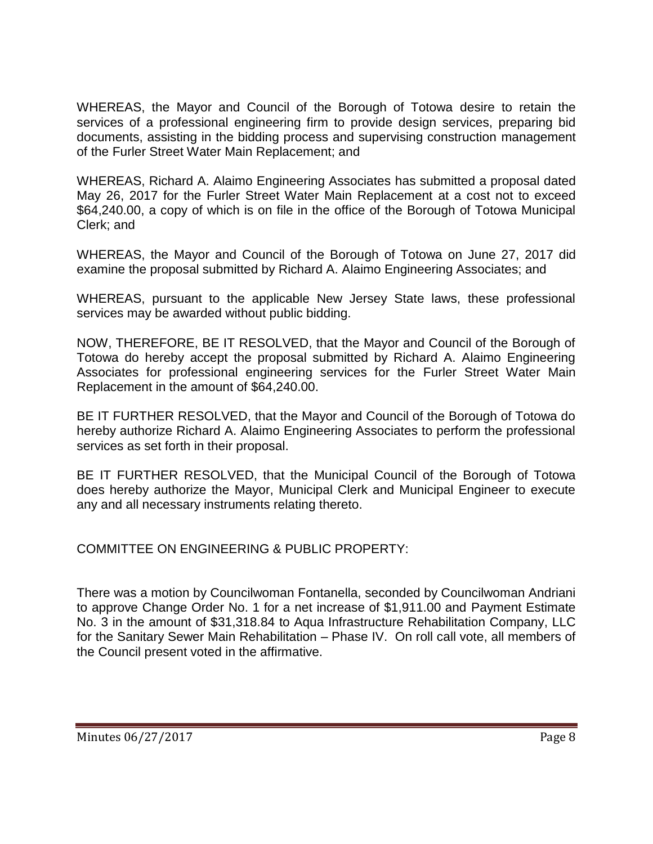WHEREAS, the Mayor and Council of the Borough of Totowa desire to retain the services of a professional engineering firm to provide design services, preparing bid documents, assisting in the bidding process and supervising construction management of the Furler Street Water Main Replacement; and

WHEREAS, Richard A. Alaimo Engineering Associates has submitted a proposal dated May 26, 2017 for the Furler Street Water Main Replacement at a cost not to exceed \$64,240.00, a copy of which is on file in the office of the Borough of Totowa Municipal Clerk; and

WHEREAS, the Mayor and Council of the Borough of Totowa on June 27, 2017 did examine the proposal submitted by Richard A. Alaimo Engineering Associates; and

WHEREAS, pursuant to the applicable New Jersey State laws, these professional services may be awarded without public bidding.

NOW, THEREFORE, BE IT RESOLVED, that the Mayor and Council of the Borough of Totowa do hereby accept the proposal submitted by Richard A. Alaimo Engineering Associates for professional engineering services for the Furler Street Water Main Replacement in the amount of \$64,240.00.

BE IT FURTHER RESOLVED, that the Mayor and Council of the Borough of Totowa do hereby authorize Richard A. Alaimo Engineering Associates to perform the professional services as set forth in their proposal.

BE IT FURTHER RESOLVED, that the Municipal Council of the Borough of Totowa does hereby authorize the Mayor, Municipal Clerk and Municipal Engineer to execute any and all necessary instruments relating thereto.

COMMITTEE ON ENGINEERING & PUBLIC PROPERTY:

There was a motion by Councilwoman Fontanella, seconded by Councilwoman Andriani to approve Change Order No. 1 for a net increase of \$1,911.00 and Payment Estimate No. 3 in the amount of \$31,318.84 to Aqua Infrastructure Rehabilitation Company, LLC for the Sanitary Sewer Main Rehabilitation – Phase IV. On roll call vote, all members of the Council present voted in the affirmative.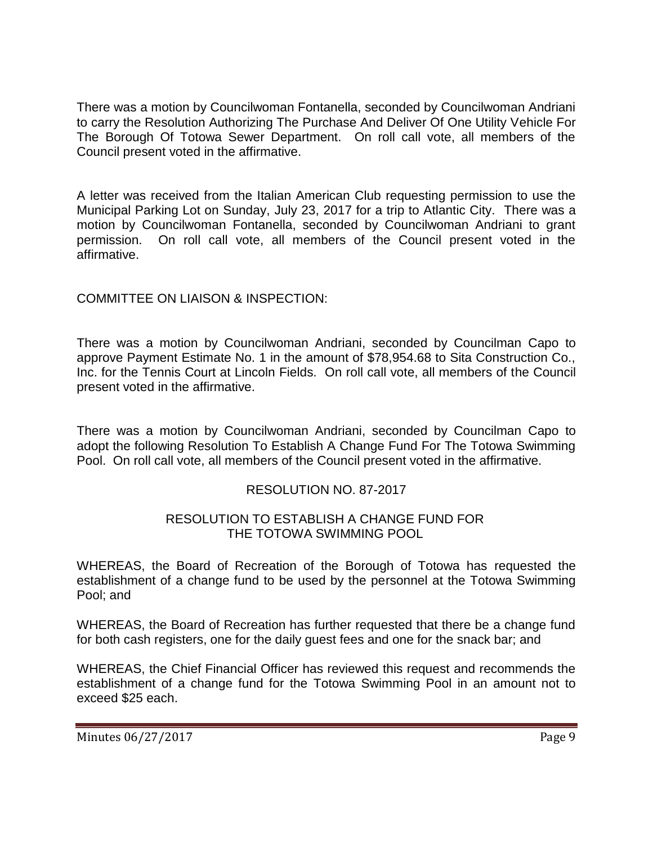There was a motion by Councilwoman Fontanella, seconded by Councilwoman Andriani to carry the Resolution Authorizing The Purchase And Deliver Of One Utility Vehicle For The Borough Of Totowa Sewer Department. On roll call vote, all members of the Council present voted in the affirmative.

A letter was received from the Italian American Club requesting permission to use the Municipal Parking Lot on Sunday, July 23, 2017 for a trip to Atlantic City. There was a motion by Councilwoman Fontanella, seconded by Councilwoman Andriani to grant permission. On roll call vote, all members of the Council present voted in the affirmative.

# COMMITTEE ON LIAISON & INSPECTION:

There was a motion by Councilwoman Andriani, seconded by Councilman Capo to approve Payment Estimate No. 1 in the amount of \$78,954.68 to Sita Construction Co., Inc. for the Tennis Court at Lincoln Fields. On roll call vote, all members of the Council present voted in the affirmative.

There was a motion by Councilwoman Andriani, seconded by Councilman Capo to adopt the following Resolution To Establish A Change Fund For The Totowa Swimming Pool. On roll call vote, all members of the Council present voted in the affirmative.

# RESOLUTION NO. 87-2017

## RESOLUTION TO ESTABLISH A CHANGE FUND FOR THE TOTOWA SWIMMING POOL

WHEREAS, the Board of Recreation of the Borough of Totowa has requested the establishment of a change fund to be used by the personnel at the Totowa Swimming Pool; and

WHEREAS, the Board of Recreation has further requested that there be a change fund for both cash registers, one for the daily guest fees and one for the snack bar; and

WHEREAS, the Chief Financial Officer has reviewed this request and recommends the establishment of a change fund for the Totowa Swimming Pool in an amount not to exceed \$25 each.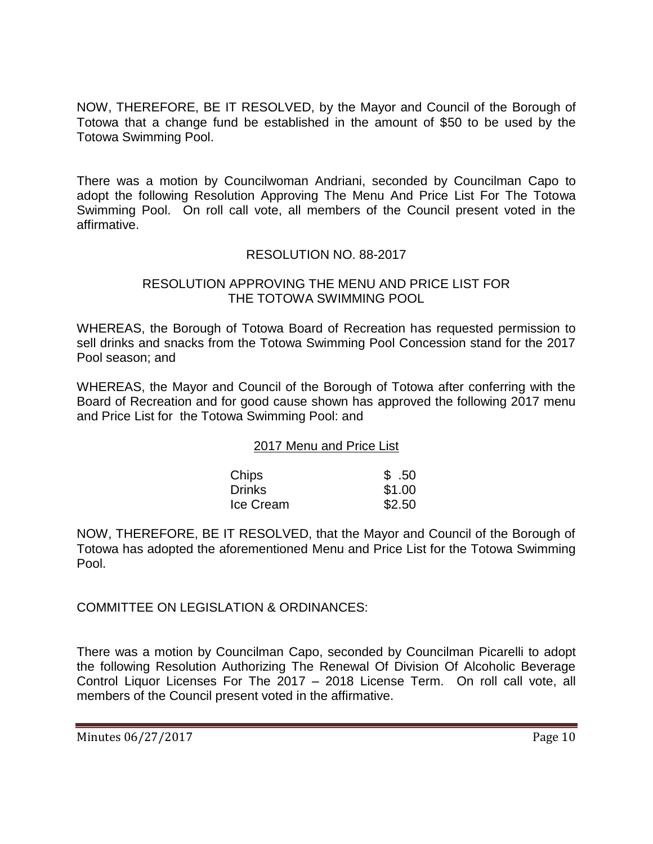NOW, THEREFORE, BE IT RESOLVED, by the Mayor and Council of the Borough of Totowa that a change fund be established in the amount of \$50 to be used by the Totowa Swimming Pool.

There was a motion by Councilwoman Andriani, seconded by Councilman Capo to adopt the following Resolution Approving The Menu And Price List For The Totowa Swimming Pool. On roll call vote, all members of the Council present voted in the affirmative.

# RESOLUTION NO. 88-2017

#### RESOLUTION APPROVING THE MENU AND PRICE LIST FOR THE TOTOWA SWIMMING POOL

WHEREAS, the Borough of Totowa Board of Recreation has requested permission to sell drinks and snacks from the Totowa Swimming Pool Concession stand for the 2017 Pool season; and

WHEREAS, the Mayor and Council of the Borough of Totowa after conferring with the Board of Recreation and for good cause shown has approved the following 2017 menu and Price List for the Totowa Swimming Pool: and

#### 2017 Menu and Price List

| Chips            | \$.50  |
|------------------|--------|
| <b>Drinks</b>    | \$1.00 |
| <b>Ice Cream</b> | \$2.50 |

NOW, THEREFORE, BE IT RESOLVED, that the Mayor and Council of the Borough of Totowa has adopted the aforementioned Menu and Price List for the Totowa Swimming Pool.

COMMITTEE ON LEGISLATION & ORDINANCES:

There was a motion by Councilman Capo, seconded by Councilman Picarelli to adopt the following Resolution Authorizing The Renewal Of Division Of Alcoholic Beverage Control Liquor Licenses For The 2017 – 2018 License Term. On roll call vote, all members of the Council present voted in the affirmative.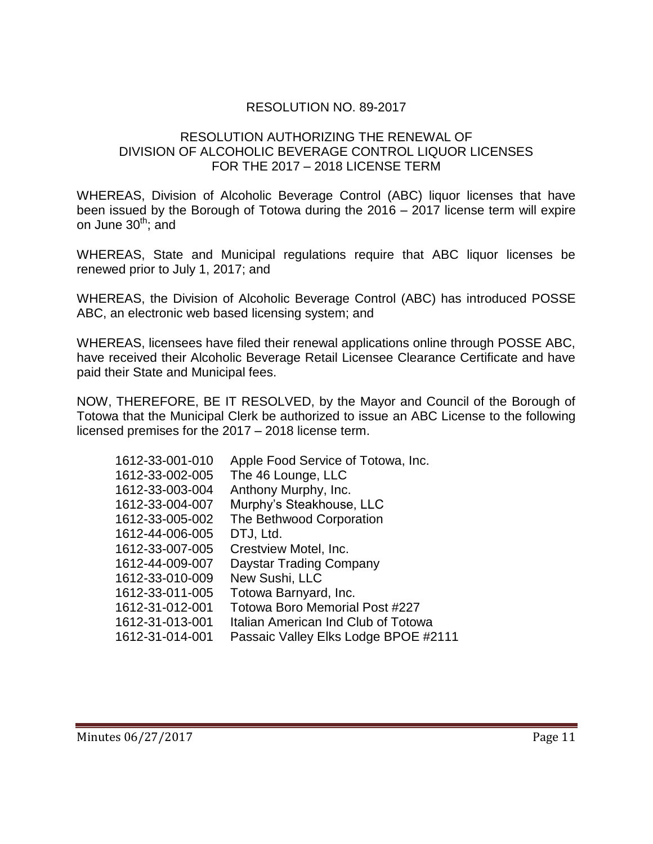# RESOLUTION NO. 89-2017

# RESOLUTION AUTHORIZING THE RENEWAL OF DIVISION OF ALCOHOLIC BEVERAGE CONTROL LIQUOR LICENSES FOR THE 2017 – 2018 LICENSE TERM

WHEREAS, Division of Alcoholic Beverage Control (ABC) liquor licenses that have been issued by the Borough of Totowa during the 2016 – 2017 license term will expire on June  $30<sup>th</sup>$ ; and

WHEREAS, State and Municipal regulations require that ABC liquor licenses be renewed prior to July 1, 2017; and

WHEREAS, the Division of Alcoholic Beverage Control (ABC) has introduced POSSE ABC, an electronic web based licensing system; and

WHEREAS, licensees have filed their renewal applications online through POSSE ABC, have received their Alcoholic Beverage Retail Licensee Clearance Certificate and have paid their State and Municipal fees.

NOW, THEREFORE, BE IT RESOLVED, by the Mayor and Council of the Borough of Totowa that the Municipal Clerk be authorized to issue an ABC License to the following licensed premises for the 2017 – 2018 license term.

| 1612-33-001-010 | Apple Food Service of Totowa, Inc.    |
|-----------------|---------------------------------------|
| 1612-33-002-005 | The 46 Lounge, LLC                    |
| 1612-33-003-004 | Anthony Murphy, Inc.                  |
| 1612-33-004-007 | Murphy's Steakhouse, LLC              |
| 1612-33-005-002 | The Bethwood Corporation              |
| 1612-44-006-005 | DTJ, Ltd.                             |
| 1612-33-007-005 | Crestview Motel, Inc.                 |
| 1612-44-009-007 | Daystar Trading Company               |
| 1612-33-010-009 | New Sushi, LLC                        |
| 1612-33-011-005 | Totowa Barnyard, Inc.                 |
| 1612-31-012-001 | <b>Totowa Boro Memorial Post #227</b> |
| 1612-31-013-001 | Italian American Ind Club of Totowa   |
| 1612-31-014-001 | Passaic Valley Elks Lodge BPOE #2111  |